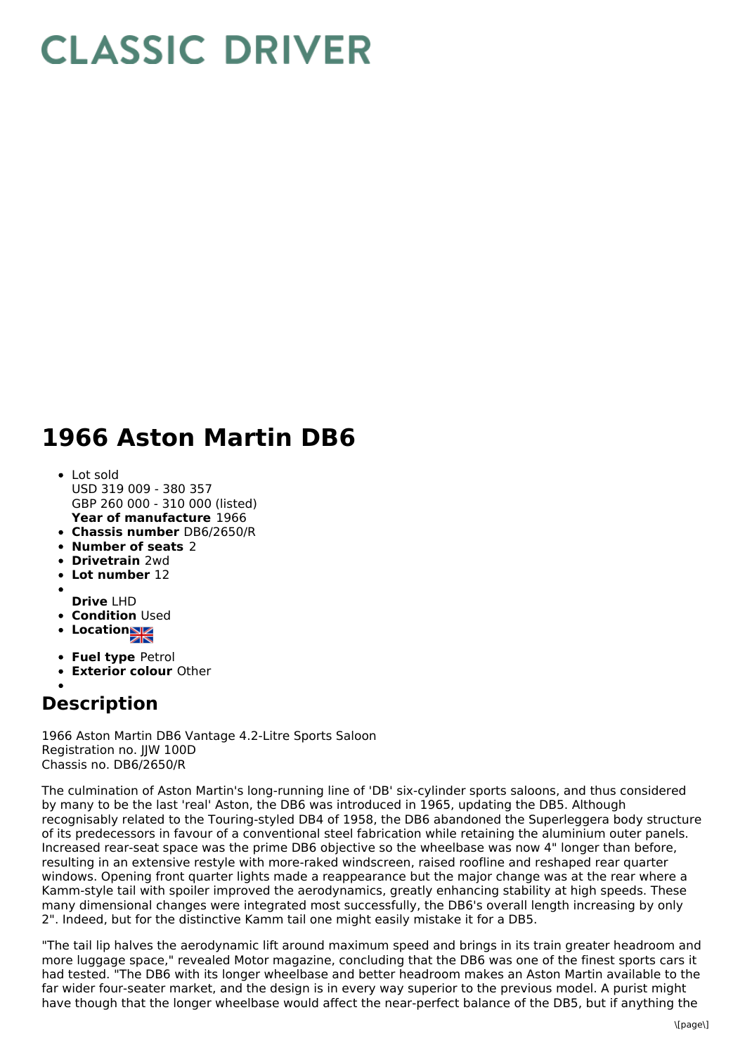## **CLASSIC DRIVER**

## **1966 Aston Martin DB6**

- **Year of manufacture** 1966 Lot sold USD 319 009 - 380 357 GBP 260 000 - 310 000 (listed)
- **Chassis number** DB6/2650/R
- **Number of seats** 2
- **Drivetrain** 2wd
- **Lot number** 12
- **Drive** LHD
- **Condition** Used
- **Location**
- 
- **Fuel type** Petrol
- **Exterior colour** Other

## **Description**

1966 Aston Martin DB6 Vantage 4.2-Litre Sports Saloon Registration no. IIW 100D Chassis no. DB6/2650/R

The culmination of Aston Martin's long-running line of 'DB' six-cylinder sports saloons, and thus considered by many to be the last 'real' Aston, the DB6 was introduced in 1965, updating the DB5. Although recognisably related to the Touring-styled DB4 of 1958, the DB6 abandoned the Superleggera body structure of its predecessors in favour of a conventional steel fabrication while retaining the aluminium outer panels. Increased rear-seat space was the prime DB6 objective so the wheelbase was now 4" longer than before, resulting in an extensive restyle with more-raked windscreen, raised roofline and reshaped rear quarter windows. Opening front quarter lights made a reappearance but the major change was at the rear where a Kamm-style tail with spoiler improved the aerodynamics, greatly enhancing stability at high speeds. These many dimensional changes were integrated most successfully, the DB6's overall length increasing by only 2". Indeed, but for the distinctive Kamm tail one might easily mistake it for a DB5.

"The tail lip halves the aerodynamic lift around maximum speed and brings in its train greater headroom and more luggage space," revealed Motor magazine, concluding that the DB6 was one of the finest sports cars it had tested. "The DB6 with its longer wheelbase and better headroom makes an Aston Martin available to the far wider four-seater market, and the design is in every way superior to the previous model. A purist might have though that the longer wheelbase would affect the near-perfect balance of the DB5, but if anything the